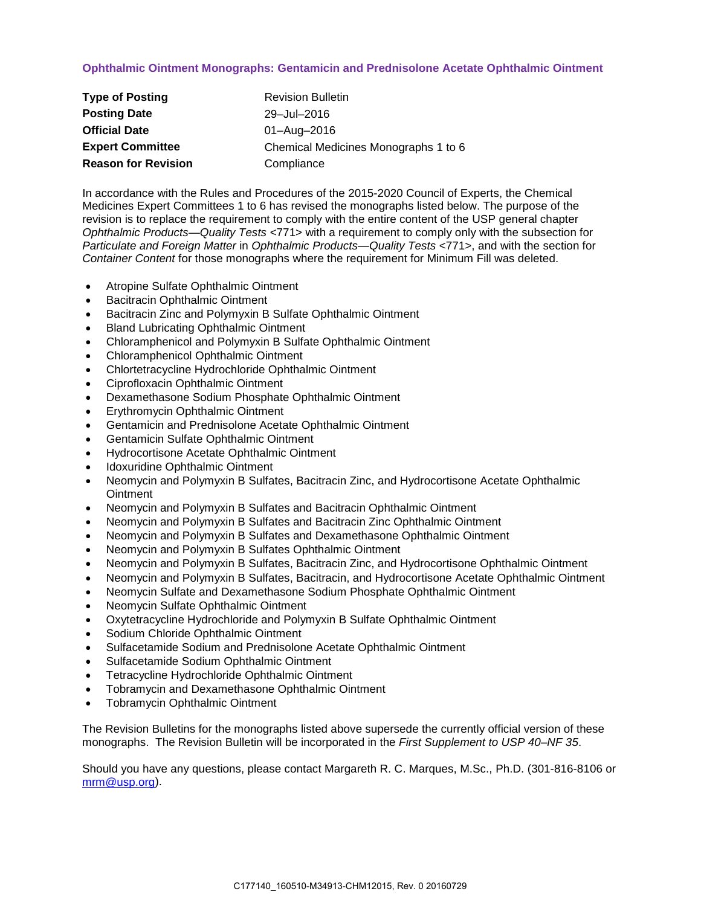# **Ophthalmic Ointment Monographs: Gentamicin and Prednisolone Acetate Ophthalmic Ointment**

| <b>Type of Posting</b>     | <b>Revision Bulletin</b>             |
|----------------------------|--------------------------------------|
| <b>Posting Date</b>        | 29-Jul-2016                          |
| <b>Official Date</b>       | 01-Aug-2016                          |
| <b>Expert Committee</b>    | Chemical Medicines Monographs 1 to 6 |
| <b>Reason for Revision</b> | Compliance                           |

In accordance with the Rules and Procedures of the 2015-2020 Council of Experts, the Chemical Medicines Expert Committees 1 to 6 has revised the monographs listed below. The purpose of the revision is to replace the requirement to comply with the entire content of the USP general chapter *Ophthalmic Products—Quality Tests* <771> with a requirement to comply only with the subsection for *Particulate and Foreign Matter* in *Ophthalmic Products—Quality Tests* <771>, and with the section for *Container Content* for those monographs where the requirement for Minimum Fill was deleted.

- Atropine Sulfate Ophthalmic Ointment
- Bacitracin Ophthalmic Ointment
- Bacitracin Zinc and Polymyxin B Sulfate Ophthalmic Ointment
- Bland Lubricating Ophthalmic Ointment
- Chloramphenicol and Polymyxin B Sulfate Ophthalmic Ointment
- Chloramphenicol Ophthalmic Ointment
- Chlortetracycline Hydrochloride Ophthalmic Ointment
- Ciprofloxacin Ophthalmic Ointment
- Dexamethasone Sodium Phosphate Ophthalmic Ointment
- Erythromycin Ophthalmic Ointment
- Gentamicin and Prednisolone Acetate Ophthalmic Ointment
- Gentamicin Sulfate Ophthalmic Ointment
- Hydrocortisone Acetate Ophthalmic Ointment
- Idoxuridine Ophthalmic Ointment
- Neomycin and Polymyxin B Sulfates, Bacitracin Zinc, and Hydrocortisone Acetate Ophthalmic **Ointment**
- Neomycin and Polymyxin B Sulfates and Bacitracin Ophthalmic Ointment
- Neomycin and Polymyxin B Sulfates and Bacitracin Zinc Ophthalmic Ointment
- Neomycin and Polymyxin B Sulfates and Dexamethasone Ophthalmic Ointment
- Neomycin and Polymyxin B Sulfates Ophthalmic Ointment
- Neomycin and Polymyxin B Sulfates, Bacitracin Zinc, and Hydrocortisone Ophthalmic Ointment
- Neomycin and Polymyxin B Sulfates, Bacitracin, and Hydrocortisone Acetate Ophthalmic Ointment
- Neomycin Sulfate and Dexamethasone Sodium Phosphate Ophthalmic Ointment
- Neomycin Sulfate Ophthalmic Ointment
- Oxytetracycline Hydrochloride and Polymyxin B Sulfate Ophthalmic Ointment
- Sodium Chloride Ophthalmic Ointment
- Sulfacetamide Sodium and Prednisolone Acetate Ophthalmic Ointment
- Sulfacetamide Sodium Ophthalmic Ointment
- Tetracycline Hydrochloride Ophthalmic Ointment
- Tobramycin and Dexamethasone Ophthalmic Ointment
- Tobramycin Ophthalmic Ointment

The Revision Bulletins for the monographs listed above supersede the currently official version of these monographs. The Revision Bulletin will be incorporated in the *First Supplement to USP 40–NF 35*.

Should you have any questions, please contact Margareth R. C. Marques, M.Sc., Ph.D. (301-816-8106 or [mrm@usp.org\)](mailto:mrm@usp.org).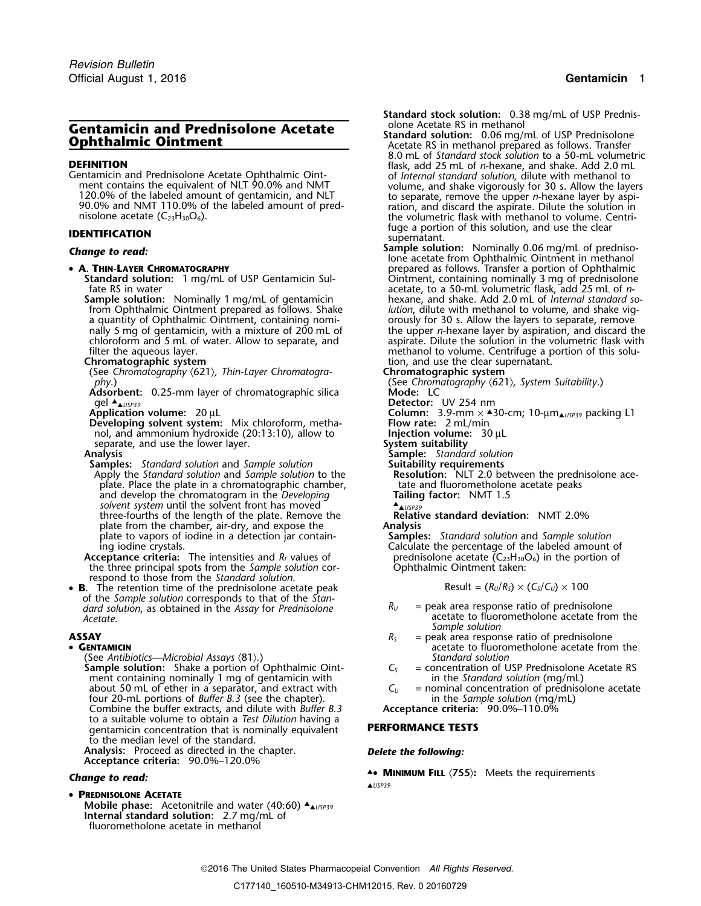120.0% of the labeled amount of gentamicin, and NLT to separate, remove the upper *n*-hexane layer by aspi-<br>90.0% and NMT 110.0% of the labeled amount of pred-<br>nisolone acetate (C<sub>23</sub>H<sub>30</sub>O<sub>6</sub>). the volumetric flask with

### • A. THIN-LAYER CHROMATOGRAPHY

from Ophthalmic Ointment prepared as follows. Shake a quantity of Ophthalmic Ointment, containing nomia quantity of Ophthalmic Ointment, containing nomi- orously for 30 s. Allow the layers to separate, remove

(See Chromatography  $\langle 621 \rangle$ , *Thin-Layer Chromatography.*)

**Adsorbent:** 0.25-mm layer of chromatographic silica gel  $\triangle_{\triangle USP39}$ <br>Application volume: 20 µL

**Developing solvent system:** Mix chloroform, metha- **Flow rate:** 2 mL/min nol, and ammonium hydroxide (20:13:10), allow to **Injection volume:** 30 µL separate, and use the lower layer.<br>**Analysis** Sample: Standar

**Samples:** *Standard solution* and *Sample solution* **Suitability requirements** Apply the *Standard solution* and *Sample solution* to the **Resolution:** NLT 2.0 between the prednisolate. Place the plate in a chromatographic chamber, tate and fluorometholone acetate peaks plate. Place the plate in a chromatographic chamber, and develop the chromatogram in the *Developing* solvent system until the solvent front has moved three-fourths of the length of the plate. Remove the **Relative standard Relative standard Relative Standard Relative Standard Relative Standard Relative Standard Business and 2.0 million. <b>Analysis** plate from the chamber, air-dry, and expose the **Analysis**<br>
plate to vapors of iodine in a detection jar contain-**Samples:** Standard solution and Sample solution plate to vapors of iodine in a detection jar contain-<br>ing iodine crystals.

**Acceptance criteria:** The intensities and  $R_f$  values of prednisolone acetate  $(C_{23}H_{30}C_1)$  the three principal spots from the *Sample solution* cor-<br>Ophthalmic Ointment taken: the three principal spots from the *Sample solution* correspond to those from the *Standard solution*.

• **B**. The retention time of the prednisolone acetate peak  $\qquad \qquad$  Result =  $(R_U/R_S) \times (C_S/C_U) \times 100$ of the *Sample solution* corresponds to that of the *Standard solution*, as obtained in the *Assay* for *Prednisolone R<sub>U</sub>* = peak area response ratio of prednisolone *acetate* from *Acetate*.

## •

(See *Antibiotics—Microbial Assays* 〈81〉.) *Standard solution* **Sample solution:** Shake a portion of Ophthalmic Oint-<br>ment containing nominally 1 mg of gentamicin with  $\begin{array}{rcl} C_s & = \text{concentration of USP Prednisolone} \\ \text{in the Standard solution (mg/mL)} \end{array}$ ment containing nominally 1 mg of gentamicin with  $\frac{1}{2}$  in the *Standard solution* (mg/mL) about 50 mL of ether in a separator, and extract with  $\frac{1}{2}$  = nominal concentration of prednisolone acetate about 50 mL of ether in a separator, and extract with *C<sub>U</sub> =* nominal concentration of prednisolone acetate four 20-mL portions of *Buffer B.3* (see the chapter). in the *Sample solution* (mg/mL) Combine the buffer extracts, and dilute with *Buffer B.3* **Acceptance criteria:** 90.0%–110.0% to a suitable volume to obtain a *Test Dilution* having a gentamicin concentration that is nominally equivalent **PERFORMANCE TESTS** to the median level of the standard.

**Analysis:** Proceed as directed in the chapter. *Delete the following:* **Acceptance criteria:** 90.0%–120.0%

•**PREDNISOLONE ACETATE**

**Mobile phase:** Acetonitrile and water (40:60) ▲<sub>▲USP39</sub> **Internal standard solution:** 2.7 mg/mL of fluorometholone acetate in methanol

*.* **Standard stock solution:** 0.38 mg/mL of USP Prednis-

- **Gentamicin and Prednisolone Acetate**<br> **Ophthalmic Ointment**<br> **Ophthalmic Ointment**<br> **Changes Acetate RS in methanol prepared as follows. Transfer<br>
8.0 mL of** *Standard stock solution* **to a 50-mL volumetric DEFINITION**<br>Centamicin and Prednisolone Acetate Ophthalmic Oint-<br>ment contains the equivalent of NLT 90.0% and NMT volume, and shake vigorously for 30 s. Allow the layers **IDENTIFICATION**<br>**IDENTIFICATION** supernatant.<br>**Internationally the clear supernation** supernatant.<br>**Sample solution:** Nominally 0.06 mg/mL of predniso-
- **Change to read: Sample solution:** Nominally 0.06 mg/mL of predniso-<br>lone acetate from Ophthalmic Ointment in methanol **A. THIN-LAYER CHROMATOGRAPHY** prepared as follows. Transfer a portion of Ophthalmic **Standard solution:** 1 mg/mL of USP Gentamicin Sul- Ointment, containing nominally 3 mg of prednisolone fate RS in water acetate, to a 50-mL volumetric flask, add 25 mL of *<sup>n</sup>*-**Sample solution:** Nominally 1 mg/mL of gentamicin hexane, and shake. Add 2.0 mL of *Internal standard sofrom Ophthalmic Ointment prepared as follows. Shake lution, dilute with methanol to volume, and shake vig*nally 5 mg of gentamicin, with a mixture of 200 mL of the upper *n*-hexane layer by aspiration, and discard the chloroform and 5 mL of water. Allow to separate, and aspirate. Dilute the solution in the volumetric flask with<br>filter the aqueous layer. **In the volumetric flask with** methanol to volume. Centrifuge a portion of this solu filter the aqueous layer.<br> **Chromatographic system**<br> **Chromatographic system**<br> **Chromatographic system**<br> **Chromatographic system** tion, and use the clear supernatant.<br>**Chromatographic system**

*phy*.) (See *Chromatography* 〈621〉*, System Suitability*.)

Detector: UV 254 nm

**Column:** 3.9-mm × ▲30-cm; 10-µm<sub>▲*USP39*</sub> packing L1 **Flow rate:** 2 mL/min

- 
- 
- 

**Analysis Sample:** *Standard solution*

**Relative standard deviation: NMT 2.0%** 

Calculate the percentage of the labeled amount of prednisolone acetate  $(C_{23}H_{30}O_6)$  in the portion of

$$
Result = (R_U/R_S) \times (C_S/C_U) \times 100
$$

- *Acetate*. acetate to fluorometholone acetate from the *Sample solution*
- **ASSAY R**<sub>S</sub> = peak area response ratio of prednisolone **GENTAMICIN GENTAMICIN CENTAMICIN CENTAMICIN CENTAMICIN CENTAMICIN CENTAMICIN CENTAMICIN CENTAMICIN CENTAMICIN CENTAMICIN CENTAMICIN CENTAMICIN CENTAMICIN CENTAMICIN CENTAMICIN CENTAMICIN** 
	-
	-

▲**.**• **<sup>M</sup>INIMUM FILL** 〈**755**〉**:** Meets the requirements *Change to read:* ▲*USP39*